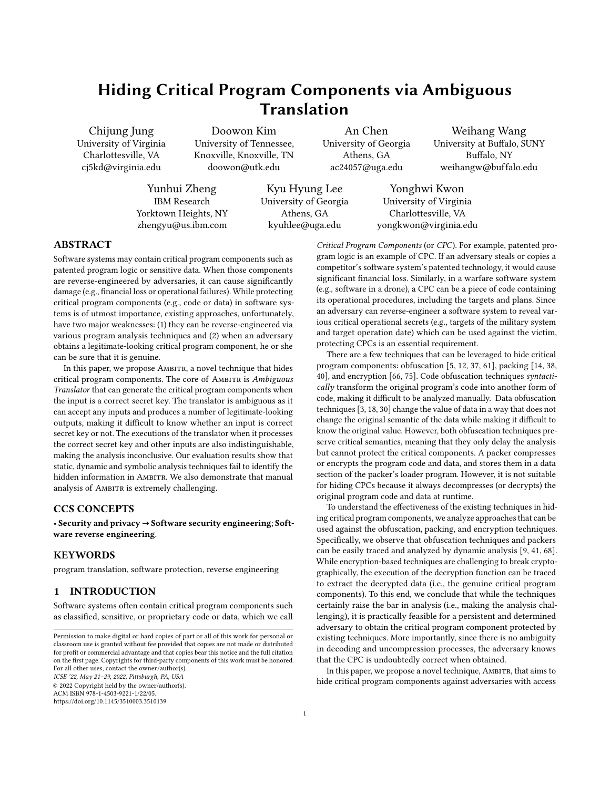# Hiding Critical Program Components via Ambiguous Translation

Chijung Jung University of Virginia Charlottesville, VA cj5kd@virginia.edu

Doowon Kim University of Tennessee, Knoxville, Knoxville, TN doowon@utk.edu

University of Georgia Athens, GA ac24057@uga.edu

An Chen

Weihang Wang University at Buffalo, SUNY Buffalo, NY weihangw@buf falo.edu

Yunhui Zheng IBM Research Yorktown Heights, NY zhengyu@us.ibm.com

Kyu Hyung Lee University of Georgia Athens, GA kyuhlee@uga.edu

Yonghwi Kwon University of Virginia Charlottesville, VA yongkwon@virginia.edu

# ABSTRACT

Software systems may contain critical program components such as patented program logic or sensitive data. When those components are reverse-engineered by adversaries, it can cause significantly damage (e.g., financial loss or operational failures). While protecting critical program components (e.g., code or data) in software systems is of utmost importance, existing approaches, unfortunately, have two major weaknesses: (1) they can be reverse-engineered via various program analysis techniques and (2) when an adversary obtains a legitimate-looking critical program component, he or she can be sure that it is genuine.

In this paper, we propose AMBITR, a novel technique that hides critical program components. The core of AMBITR is Ambiguous Translator that can generate the critical program components when the input is a correct secret key. The translator is ambiguous as it can accept any inputs and produces a number of legitimate-looking outputs, making it difficult to know whether an input is correct secret key or not. The executions of the translator when it processes the correct secret key and other inputs are also indistinguishable, making the analysis inconclusive. Our evaluation results show that static, dynamic and symbolic analysis techniques fail to identify the hidden information in AMBITR. We also demonstrate that manual analysis of AMBITR is extremely challenging.

#### CCS CONCEPTS

• Security and privacy → Software security engineering; Software reverse engineering.

# **KEYWORDS**

program translation, software protection, reverse engineering

# 1 INTRODUCTION

Software systems often contain critical program components such as classified, sensitive, or proprietary code or data, which we call

ICSE '22, May 21–29, 2022, Pittsburgh, PA, USA

© 2022 Copyright held by the owner/author(s). ACM ISBN 978-1-4503-9221-1/22/05.

<https://doi.org/10.1145/3510003.3510139>

competitor's software system's patented technology, it would cause significant financial loss. Similarly, in a warfare software system (e.g., software in a drone), a CPC can be a piece of code containing its operational procedures, including the targets and plans. Since an adversary can reverse-engineer a software system to reveal various critical operational secrets (e.g., targets of the military system and target operation date) which can be used against the victim, protecting CPCs is an essential requirement. There are a few techniques that can be leveraged to hide critical

Critical Program Components (or CPC). For example, patented program logic is an example of CPC. If an adversary steals or copies a

program components: obfuscation [5, 12, 37, 61], packing [14, 38, 40], and encryption [66, 75]. Code obfuscation techniques syntactically transform the original program's code into another form of code, making it difficult to be analyzed manually. Data obfuscation techniques [3, 18, 30] change the value of data in a way that does not change the original semantic of the data while making it difficult to know the original value. However, both obfuscation techniques preserve critical semantics, meaning that they only delay the analysis but cannot protect the critical components. A packer compresses or encrypts the program code and data, and stores them in a data section of the packer's loader program. However, it is not suitable for hiding CPCs because it always decompresses (or decrypts) the original program code and data at runtime.

To understand the effectiveness of the existing techniques in hiding critical program components, we analyze approaches that can be used against the obfuscation, packing, and encryption techniques. Specifically, we observe that obfuscation techniques and packers can be easily traced and analyzed by dynamic analysis [9, 41, 68]. While encryption-based techniques are challenging to break cryptographically, the execution of the decryption function can be traced to extract the decrypted data (i.e., the genuine critical program components). To this end, we conclude that while the techniques certainly raise the bar in analysis (i.e., making the analysis challenging), it is practically feasible for a persistent and determined adversary to obtain the critical program component protected by existing techniques. More importantly, since there is no ambiguity in decoding and uncompression processes, the adversary knows that the CPC is undoubtedly correct when obtained.

In this paper, we propose a novel technique, AMBITR, that aims to hide critical program components against adversaries with access

Permission to make digital or hard copies of part or all of this work for personal or classroom use is granted without fee provided that copies are not made or distributed for profit or commercial advantage and that copies bear this notice and the full citation on the first page. Copyrights for third-party components of this work must be honored. For all other uses, contact the owner/author(s).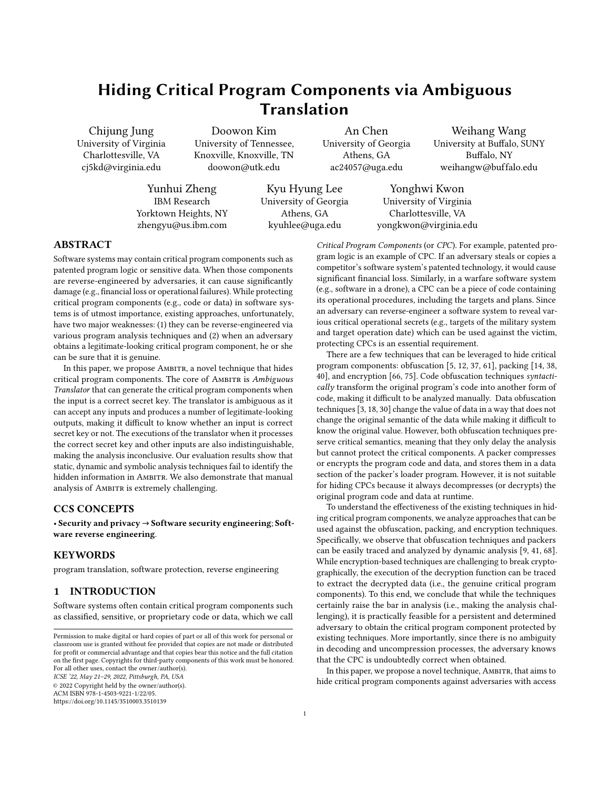to the target program. Specifically, we hide critical program components (e.g., program code or data) by encoding the components to a complex state-machine. Given a correct secret key, the statemachine generates the genuine critical program components (e.g., program code or data). The key difference between AMBITR and existing techniques is that AMBITR can take the incorrect secret key as input and generate legitimate-looking CPCs, making it difficult to determine whether the given input is the correct secret key or not. Unlike a typical state-machine, AMBITR's state-machine allows a transition on any inputs even if it does not match the transition's input (i.e., a typical state-machine will raise an error if it does not match). The differences between the state transition's input and the given input are then used to generate output different from the state transition's output. This significantly enlarges the input/output space of a state transition in AMBITR. With the state-machine, AMBITR introduces a unique challenge to the adversary, Ambiguity, meaning that even if the adversary identifies a legitimate-looking output from AMBITR, the adversary does not know whether the output is the genuine critical program component. To this end, with the sophisticated construction of our state-machine, the critical program component hidden by AMBITR is extremely challenging to be identified. Moreover, even when some possible outputs are identified, one cannot know which output is the genuine CPC.

Our contributions are summarized as follows:

- a We analyze limitations of existing techniques aiming to hide program code, and investigate a possibility of adding a new challenge: ambiguity.
- a We proposeAmbitr, which can hide critical program components (CPCs) through a sophisticated translation technique that accepts any inputs and generates multiple plausible CPCs that are not distinguishable from the genuine CPC.
- a We perform a thorough evaluation using state-of-the-art dynamic, static, and symbolic analysis tools to demonstrate Am-BITR's resilience to reverse-engineering attempts.

# 2 POSITIONING AND BACKGROUND

#### 2.1 Definition

Critical Program Component (CPC). We define Critical Program Component as a piece of code or data that contains critical program logic or information, which is not desirable to be known to the adversary. It is important to mention that, in our context, while the adversary knows that there is a CPC hidden in the program, he or she does not know what the CPC should be. In other words, given a set of plausible CPC examples, the adversary does not know which one is the correct CPC. In this paper, we aim to prevent the adversary from identifying and pinpointing the correct CPC.

#### 2.2 Positioning

Typical Usage Scenario. Figure 1 illustrates how AMBITR operates under a typical usage scenario of our research. Specifically, in a target program, we use our Ambiguous Translator to hide a critical program component. At runtime, it receives an input from an external source such as network  $($ **(** $)$ ), and feeds it to the ambiguous translator  $(2)$  which generates outputs according to the input. If the input is the correct secret key, the genuine CPC is generated

(<sup>3</sup>). On other inputs, our ambiguous translator still produces valid outputs without failing. In particular, on certain specialized inputs, decoy CPCs that are indistinguishable from the genuine CPC are generated  $($ . Finally, the outputs (i.e., CPCs) are processed or executed, if its type is an executable code  $\left( \bigcirc \right)$ .



Figure 1: Assumed Scenario and Scope of the Research.

Adversary Model and Scope. In this work, we assume the adversary has access to previous inputs and the target program's code, including our ambiguous translator's logic  $\left( \bigodot \right)$ . The adversary can also run the program with any inputs including the obtained previous inputs. The goal of AMBITR is to prevent the adversary from identifying the secret input that can generate the genuine CPC without a doubt  $(3)$ . To achieve the goal, AMBITR can generate outputs including the genuine CPC and decoy CPCs that are indistinguishable from each other  $\left( \bullet \right)$ . The execution of the ambiguous translator when it generates the original or decoy CPCs is also indistinguishable, as well as the processing or execution of the generated CPCs (8).

We assume that the previous inputs might exist in a network log and are available to the adversary. However, the adversary does not know what is the secret input, from the obtained previous input. Some of the inputs may generate decoy CPCs. We assume that target program's behaviors and execution for processing and executing the CPCs are not distinguishable. Otherwise, the code can be traced to identify which input generates the genuine CPC. If the original target program should execute different program code, such code should be included in the executable CPC. We assume the adversary can leverage various static and dynamic analysis techniques to analyze our ambiguous translator. We consider our approach is successful if the adversary fails to pinpoint the genuine CPC, even if many (or even all) valid CPCs are identified.

# 2.3 Existing Techniques for Hiding CPC

A few techniques can be leveraged to hide a CPC in a program. Specifically, the columns in Table 1 present the techniques while each row of the table shows program analysis approaches that can be used to identify CPCs. Symbols represent the effectiveness of the program analysis approaches against each technique.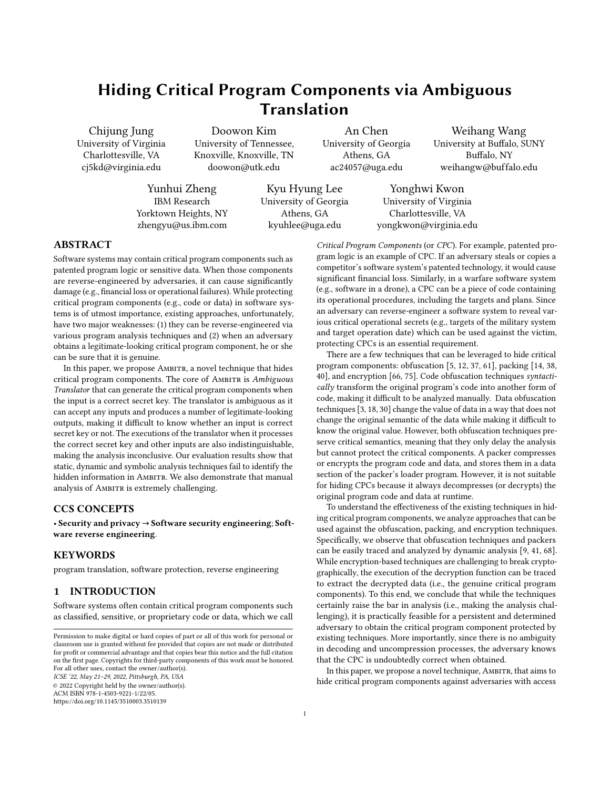Table 1: Effectiveness of Existing Techniques and AMBITR against Program Analysis Approaches.

|                        | Obfuscators Packers/Crypters Protectors AMBITR |  |
|------------------------|------------------------------------------------|--|
| <b>Static Analysis</b> |                                                |  |
| Symbolic Analysis      |                                                |  |
| Dynamic Analysis       |                                                |  |
| Forced Execution       |                                                |  |

 $O:$  Ineffective,  $\mathbf{O}:$  Less effective,  $\mathbf{O}:$  Effective (against analyses). 1: Static/symbolic analysis techniques have difficulty handling advanced obfuscators (with multiple layers of obfuscations) due to state explosion, while they can handle simple obfuscators.

2: Static analysis may handle known crypto algorithms while it may not generically handle them (hence half-filled circled, meaning that effective on some but not all).

2.3.1 Obfuscators. Obfuscation techniques [3, 5, 12, 16, 18, 24, 30, 37, 47, 54, 61, 64, 67, 76] aim to make the original code difficult to analyze by leveraging techniques including opaque predicates [16, 47, 67], code insertion/replacement [5, 24, 37, 54, 61, 76], and hardware primitives [12, 64].

Limitations. Obfuscation techniques that transform code into semantically equivalent forms or add non-essential code (e.g., opaque predicates and dummy code) [5, 16, 24, 37, 47, 54, 61, 67, 76] can be handled by automatically reverting or removing the modified/added code via program analysis techniques [33, 44, 49, 53, 80, 81]. Depending on the obfuscation techniques used, static and symbolic analysis may suffer from the complexity of the analysis, meaning that they might not be always effective, as described in Table 1. Typically, dynamic analysis (including forced execution [57]) techniques are highly effective in handling the obfuscation techniques. While data obfuscation techniques [3, 18, 30] change the values of data, their critical semantics are preserved and can be traced and identified by both static and dynamic analysis [46, 79].

2.3.2 Packers/Crypters. Packers [14, 38, 40] primarily aim to hinder static analysis. Specifically, they create a program containing compressed original program as data, that uncompresses and executes the original program at runtime. Crypters [2, 6, 29] are essentially advanced packers using crypto techniques to hide the program data and code. Due to the complexity of compression and encryption, static and symbolic analysis are not effective as shown in Table 1. In particular, symbolic analysis suffers from state explosion due to the complex computations of encryption schemes.

Limitations. Since a packer generated program seamlessly unpacks and executes the original code at runtime, dynamic analysis (i.e., executing the binary and extracting the uncompressed program) [13, 34, 62] can obtain the original program.

2.3.3 Protectors. Protectors [59, 69, 82, 83] are essentially advanced packers/crypters equipped with evasive anti-analysis techniques such as terminating the execution if they detect reverse-engineering attempts (e.g., running the program with a debugger). Similar to packers/crypters, since the program itself is compressed and encrypted, static and symbolic analyses are not effective, as described in Table 1. Specifically, symbolic and concolic analyses can be used to avoid the evasive techniques by extracting and solving the evasive predicate conditions. However, they are difficult to scale to the programs generated by protectors. Moreover, dynamic analysis is ineffective because of the evasive techniques.

Limitations. Forced execution techniques [19, 32, 35, 57, 78] aim to handle evasive techniques by forcibly executing branches regardless of the predicate conditions. Most protectors can be handled by the forced execution techniques. Note that since the forced execution techniques forcibly execute program code regardless of the predicate conditions, they may fail to handle an advanced protector which uses predicate conditions for both evasive techniques and decryption (i.e., decryption logic is dependent on the predicate conditions). However, by observing the predicate conditions and executions of the program, it is straightforward to tune the analysis technique to handle such advanced protectors (e.g., one can selectively solve such a critical predicate with symbolic execution to handle the limitation) [70].

#### 2.4 Desirable Properties

We present four desirable properties of a CPC hiding techniques: Evasiveness, Complexity, Context-Sensitivity, and Ambiguity.

From Existing Literature. For the first three properties, we identify and summarize them from existing literature. Note that prior literature does not explicitly present the properties. They are only implicitly mentioned individually (e.g., evasiveness in [80], complexity in [5], context-sensitivity in [40, 44]). We systematically studied prior literature to establish the desirable properties. In particular, from program analysis papers [33, 44, 80], we mainly focus on the challenges, e.g., state-explosion caused by complexity, they pointed out. From anti-program analysis techniques [5, 24, 40, 54, 64], we pay attention to the approaches proposed by them to hinder the analysis (e.g., evasive tactics [54]). We believe the four properties thoroughly cover the core properties across the literature. New Desired Property: Ambiguity. We introduce a new desirable characteristic: Ambiguity (details in Section 2.4.4).

2.4.1 Evasiveness. Programs that are highly evasive (e.g., programs with a number of evasive predicates) impose significant challenges to symbolic and dynamic analysis. For dynamic analysis, knowing a number of concrete inputs that can cover all the evasive predicates is challenging. For symbolic analysis, an excessive number of predicates and complex predicate conditions cause the scalability problem (i.e., taking too much time making the technique practically unusable).

2.4.2 Complexity. Static and symbolic analyses have difficulty analyzing programs with complex operations. Typical examples are packed/encrypted programs. Static and symbolic analyses can reverse-engineer the uncompression/decryption process. However, they fail to scale complex algorithms (e.g., a crypto algorithm).

2.4.3 Context-sensitivity. Some programs have context-sensitive code, meaning that their behaviors are dependent on a particular program execution path. Since there are a large number of program paths, it is common for static analysis to conduct contextinsensitive analysis. Symbolic analysis aims to discover various execution contexts; hence often suffers from the excessive number of program execution paths, causing the path explosion. Forced execution solves the path explosion problem by forcibly executing code guarded by branches. However, due to the ignored branch outcomes which lead to incorrect context, the results of the execution may not be precise.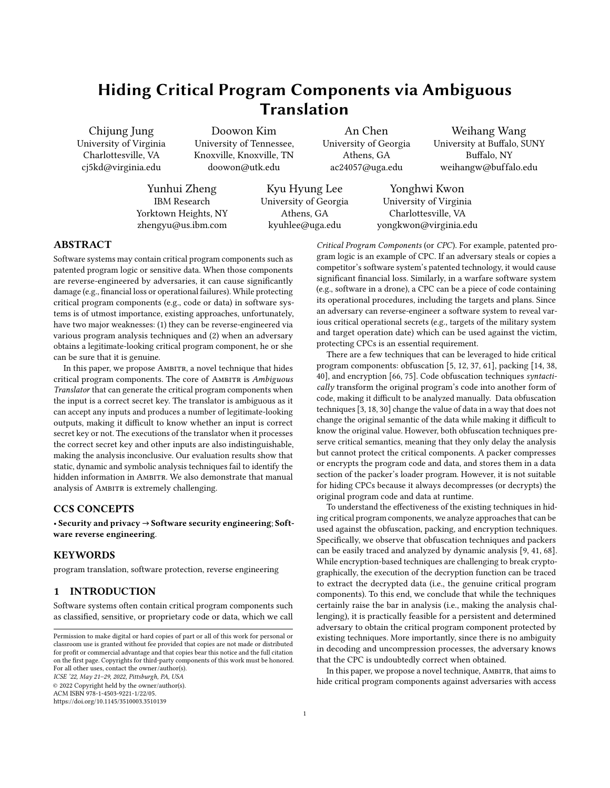



Figure 2: Existing Techniques are NOT Ambiguous.

2.4.4 Ambiguity. When an adversary obtains a successfully decoded/decrypted CPC, if the adversary can certainly say the CPC is genuine, we consider the technique is not ambiguous. In other words, if the adversary cannot determine whether the CPC is correct or not, we consider the technique has the ambiguity property. Specifically, obfuscators do not go through a decoding process, meaning that executing the obfuscated program would expose the critical program components. Packers/crypters/protectors typically store the compression/encryption key for the critical program component in the programs. Hence, running the program, without any particular input, would expose the CPC. Advanced crypters/protectors often store the key for CPC in a separate place, making it challenging to decrypt. Similar to AMBITR, an application may receive the key via the Internet.

Assume that an adversary obtains a few keys from the network traffic logs, and try them to the program. Figure 2 describes an example scenario with three different keys, where Key 1 is correct and Key 2 and 3 are incorrect. Unlike AMBITR, existing crypters/protectors are not ambiguous, meaning that the decoding/decryption will be only successful with Key 1 and all other keys (e.g., Key 2 and 3) will result in errors. As a result, observing any successful decryption with a key implies that the decrypted CPC are genuine.

|  |  |  | Table 2: Properties in Existing Techniques and AMBITR. |  |  |  |
|--|--|--|--------------------------------------------------------|--|--|--|
|  |  |  |                                                        |  |  |  |

|  |                                                                      | AMBITR                                  |
|--|----------------------------------------------------------------------|-----------------------------------------|
|  |                                                                      |                                         |
|  |                                                                      |                                         |
|  |                                                                      |                                         |
|  |                                                                      |                                         |
|  | $\bullet$ : High, $\bullet$ : Medium, $\bullet$ : Low, $\circ$ : No. | Obfuscators Packers/Crypters Protectors |

1: Protectors have medium evasiveness because while they detect the environment to avoid (e.g., VM/debugger), their detection is not sophisticated.

2: Obfuscators/Packers/Crypters/Protectors use various encoding/crypto algorithms with varying complexity, determining the complexity property. Both simple and complex algorithms are used, leading to the medium.

3: Very few protectors are context-sensitive: e.g., using a (context-sensitive) variable as a decryption key.

Summary of Desirable Properties. Table 2 shows the desirable properties in existing techniques and AMBITR. As discussed, none of existing techniques has the ambiguity property. Moreover, AMBITR is more evasive, complex, and contextsensitive than existing techniques.

# 3 DESIGN

#### 3.1 Overview and Intuition

AMBITR leverages a specialized state machine to translate input to CPCs. The state machine is designed to accept any input values and generate the genuine CPC or decoy CPCs depending on the input.

The state machine achieves Evasiveness and Context Sensitivity since without knowing the particular secret key (i.e., the secret input) for the genuine CPC, executing the state machine with other inputs does not produce the genuine CPC. The state machine contains a number of states for decoy CPCs, achieving Complexity. Finally, the decoy CPCs and the execution of AMBITR are not distinguishable to the genuine CPC, achieving Ambiguity.

3.1.1 A versus a Typical State Machine. A typical state machine only accepts input that can make state transitions from the current state. Hence, to understand all possible inputs (and corresponding outputs), one can collect all the state transitions' inputs and come up with the permutations of them. Unlike traditional state machine that should have an accepting state, AMBITR does not have the acceptation state. It terminates when it has consumed all the inputs. Note that AMBITR's output is generated when a transition happens, not at the accepting state as a traditional state-machine does.

Figure 3-(a) shows an example state-machine. Circles and arrows represent states and state transitions including input and output of each transition ('In' and 'Out'). A traditional state machine can only accept inputs that match the state transitions' inputs. For instance, from  $(A)$ , it only accepts two inputs "blinding" and "Reference" that make transitions to  $(B)$  and  $(C)$ , respectively. The restriction on accepted inputs essentially limits the input and output space. Figure 3-(b) shows all possible inputs and outputs of the traditional state machine from  $(A)$  to  $(D)$  and  $(E)$ . This can be done by identifying all possible state transitions and inputs because any other inputs (e.g., the last row of Figure 3-(b)) result in errors. Inputs for CPCs is Implicit in AMBITR. Figure  $3-(c)$  shows in-

puts and outputs that can be handled by AMBITR using the state machine in Figure 3-(a). Note that it can handle all the inputs in the same way the traditional state machine handles. The first row shows an example.

AMBITR allows a CPC to be decoded by inputs that do not match the state transitions' inputs. The second row shows an example. The first input "pywudh"" does not match any transition inputs from  $(A)$ : "blinding" for  $(B)$  and "Reference" for  $(C)$ . However, as shown in the third column, it makes a transition to  $(\widehat{B})$ , since the distance (in ASCII code value of each byte) between the given input and the state transition's input of  $\circledB$  is closer than the state transition's input of C . When it produces an output, it also uses the measured distance between the input and the state transition's input to compute a new output value that is different from the state transition's output. By doing so, AMBITR's state machine does not have restrictions on the inputs it can take, meaning that any inputs can be accepted. Moreover, outputs that AMBITR's state machine can produce are not restricted as well.

The second, third, and fourth rows in Figure 3-(c) show examples of legitimate-looking decoy CPCs (i.e., meaningful executable code but not the genuine CPC) from inputs that do not match any state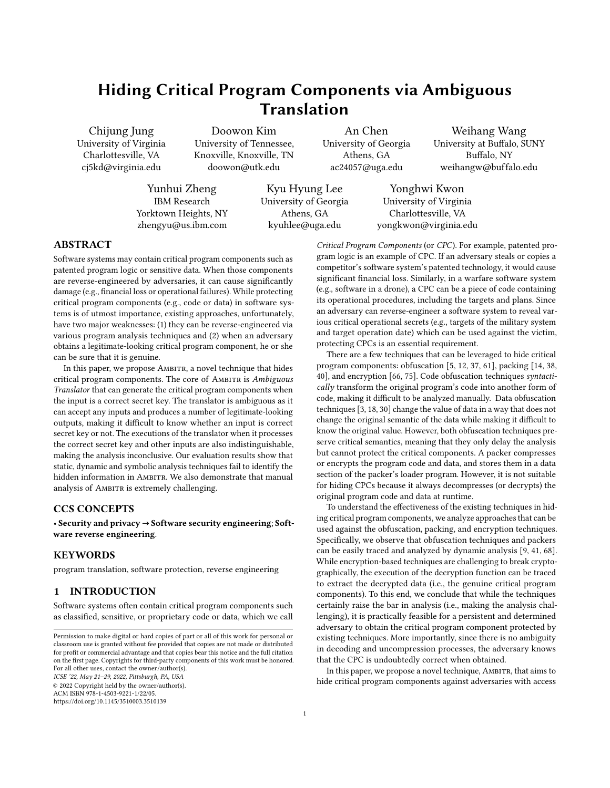

| Output                                            | <b>State Transitions</b>                        |
|---------------------------------------------------|-------------------------------------------------|
| elements extended-code                            | $A \rightarrow B \rightarrow D$                 |
| elements interchanging                            | $A \rightarrow B \rightarrow E$                 |
| materials manipulation                            | $A \rightarrow C \rightarrow E$                 |
| materials ring extended-code                      | $A \rightarrow C \rightarrow B \rightarrow D$   |
| materials ring interchanging                      | $A \rightarrow C \rightarrow B \rightarrow F$   |
| materials <error></error>                         | A $\rightarrow$ C $\rightarrow$ <error></error> |
| (b) Traditional State Machine's State Transitions |                                                 |
| Output                                            | <b>State Transitions</b>                        |
| elements extended-code                            | $A \rightarrow B \rightarrow D$                 |
| system(\$ GET['xx']);                             | $A \rightarrow B \rightarrow D$                 |
|                                                   |                                                 |

rnpjmf" "]c{i4B unlink(\$file);  $A \rightarrow B \rightarrow D$ Re[l \$1kb, !\*0prm,\$h); mail (\$to, \$t,\$msg,\$h);  $A \rightarrow C \rightarrow E$ 

(c) AMBITR's State Transitions

Figure 3: Traditional State Machine vs. AMBITR.

transitions' inputs. The three inputs have different sizes, and the fourth row's input leads to different state transitions ( $\overline{A}$ ) to  $\overline{C}$ ) and  $(E)$ ) from the other two. Note that many more inputs can generate legitimate-looking outputs, and one can brute-force inputs (e.g., trying all possible strings for input) to enumerate them. We explain the details of the state machine in Section 3.2.1.

3.1.2 Ambiguity in  $A$ . AMBITR introduces ambiguity in two aspects: ambiguity in input/output and execution.

Ambiguous Input/Output. The input of AMBITR is ambiguous because it can take any inputs even if it does not match any state transition inputs, as shown in Figure 3-(c). When the input does not match any state transitions, AMBITR finds a transition that has the closest input to the provided input (in terms of ASCII code value of each byte of input). Observe that AMBITR's output can also differ from the state transition's output and is dependent on input, meaning that the output is also ambiguous.

The ambiguity of the outputs makes the analysis inconclusive. For example, in Figure 3-(c), the second, third, and fourth rows' outputs are all legitimate executable code. Hence, it is challenging to conclude which one is the genuine CPC.

Ambiguous Execution. One may use dynamic analysis to trace the execution of AMBITR to understand whether there are any execution differences while processing different inputs. If such a difference exists, it can be used to infer the genuine CPC. As shown in Algorithm 1 that describes the algorithm of AMBITR's state machine (will be explained in Section 3.2.1), there are no predicates and computations that behave distinctively. Hence, tracing the execution of AMBITR does not help to identify the genuine CPC.

|                     | Algorithm 1: Algorithm of Ambiguous Translator                                                                                                            |
|---------------------|-----------------------------------------------------------------------------------------------------------------------------------------------------------|
|                     | <b>Input</b> : InStr: Array of Tokenized Input String.                                                                                                    |
|                     | <b>Output:</b> OutStr: Output String.                                                                                                                     |
|                     | 1 procedure StateMachine( <i>InStr</i> )                                                                                                                  |
|                     | // Assign the Initial State (i.e., INIT).                                                                                                                 |
| $\overline{2}$      | $State_{cur} \leftarrow INT$                                                                                                                              |
| 3                   | <b>while</b> until it consumes all the tokens of InStr; the current token                                                                                 |
|                     | is InStr <sub>cur</sub> do<br>// Find the matching (or closest) transition from the current state.                                                        |
| $\overline{\bf{4}}$ | <i>State<sub>next</sub></i> , <i>Tran_In</i> <sub><math>\wedge</math></sub> , <i>Tran_Out</i> $\leftarrow$ FindTransition<br>$(State_{cur}, InStr_{cur})$ |
|                     | // Change the current state                                                                                                                               |
| 5                   | $State_{cur} \leftarrow State_{next}$                                                                                                                     |
| 6                   | $Out_{cur} \leftarrow \bigcirc$                                                                                                                           |
|                     | // Compute Output according to the distance between the input and<br>transition's input                                                                   |
| 7                   | <b>for</b> each byte $t_i$ and $t_o$ in Tran_In <sub><math>\wedge</math></sub> and Tran_Out <b>do</b>                                                     |
|                     | // ' ' is a string concatenation operator.                                                                                                                |
| 8                   | $Out_{cur} \leftarrow Out_{cur}$ Round $(t_o \ t_i)$                                                                                                      |
| 9                   | OutStr $\leftarrow$ OutStr Out <sub>cur</sub>                                                                                                             |
| 10                  | return OutStr                                                                                                                                             |
| 11                  | <b>procedure FindTransition</b> ( <i>State<sub>cur</sub></i> , <i>InStr<sub>cur</sub></i> )                                                               |
| 12                  | $MinScore \leftarrow 1$                                                                                                                                   |
| 13                  | <b>for</b> each transition tr from State <sub>cur</sub> do                                                                                                |
| 14                  | $Score \leftarrow 0$                                                                                                                                      |
| 15                  | $tr_{\Lambda} \leftarrow 0$                                                                                                                               |
| 16                  | <b>for</b> each byte $b_t$ of input of transition tr, and each byte $b_i$                                                                                 |
|                     | from InStr <sub>cur</sub> do                                                                                                                              |
| 17                  | $Score \leftarrow Score \mid b_t \mid b_i \mid$                                                                                                           |
|                     | // ${\rm char}()$ converts a number to a string, ' ' concatenates strings.                                                                                |
| 18                  | $tr_{\Lambda} \leftarrow tr_{\Lambda}$ char( $b_t$ $b_i$ )                                                                                                |
|                     | // Finding the matching (or closest) transition.                                                                                                          |
| 19                  | <b>if</b> MinScore is 1 or min $%$ score <b>then</b>                                                                                                      |
| 20                  | $MinScore \leftarrow Score$                                                                                                                               |
| 21                  | $Tran\_In_{\wedge} \leftarrow tr_{\wedge}$                                                                                                                |
|                     | // $tr_{\text{next}}$ represents the next state of the transition $tr$                                                                                    |
| 22                  | $State_{next} \leftarrow tr_{next}$                                                                                                                       |
|                     | // $tr_{out}$ represents the output of the transition $tr$                                                                                                |
| 23                  | $Tran$ Out $\leftarrow$ tr <sub>out</sub>                                                                                                                 |
| 24                  | <b>return</b> State <sub>next</sub> , Tran <sub>In</sub> , Tran <sub>I</sub> Out                                                                          |

#### 3.2 Composing AMBITR

AMBITR consists of two components: (1) Ambiguous Translator, which is a piece of software that processes input according to the state machine definition to generate a CPC (Section 3.2.1) and (2) definition of the state machine that the Ambiguous Translator operates (Section 3.2.2).

3.2.1 Ambiguous Translator Runtime. The core of AMBITR is the runtime of Ambiguous Translator. It has two unique characteristics. First, regardless of the current state and input, it always transits to another state even the input does not match any transitions (C1). Note that, in a typical state machine, a state transition only happens when there is a transition that can accept the current input. Second, when AMBITR takes inputs that do not match the existing transitions, the output generated by AMBITR is also different from the transitions' outputs (C2). Specifically, the final output is computed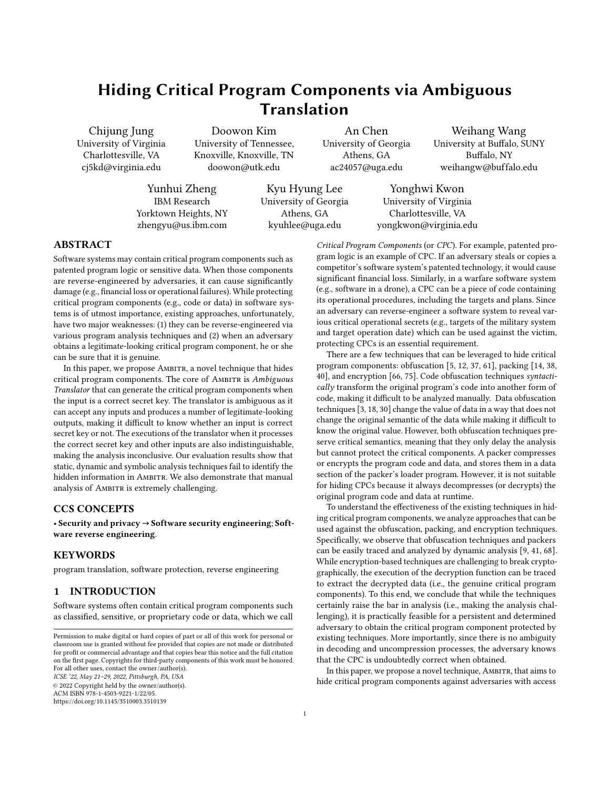

(b) Output Translation Results



# Figure 4: Examples of Dynamic Output Translation. Computations, i.e., (b) and (c), are on ASCII Code Values.

based on a concrete input at runtime. This significantly enlarges the search space of input and output. Algorithm 1 shows its algorithm, and we will use it to explain the details of the two characteristics. Making Transitions on Any Inputs (C1). Ambiguous Translator makes transitions from any states on any inputs. Specifically, for all next reachable states from the current state, it calculates the distance (by subtracting values from each byte offset and accumulating the results as shown in Figure 4) between the current input and the transitions' inputs (FindTransition in Algorithm 1). Lines 16-18 in Algorithm 1 essentially compute the distance (Score). Then, it selects a transition with the smallest distance (if there are multiple ties, we pick the first one to make it deterministic) as shown in lines 19-23 in Algorithm 1.

Dynamic Output Translation (C2). When Ambiguous Translator makes a transition on an input that is not exactly matched with the transition's input, it generates output that is different from the current state transition's output. Specifically, it computes the new output by applying the differences between the current input and the current state transition's input. This makes the output space significantly large as the output can vary as much as the input varies.

In Algorithm 1, one of the return values of FindTransition (line 4) is  $Tran\_In_{\Lambda}$ , which represents the distance between the current input and the current state transition's input. FindTransition also returns the current (i.e., selected) transition's output as Tran\_Out. Then, at lines 7-8, it computes the new output by subtracting each byte of  $\textit{Tran\_In}_{\Delta}$  (i.e.,  $t_i$ ) from the transition's output  $\textit{Tran\_Out}$  (i.e.,  $t_o$ ). Note that there is the Round function at line 8, which essentially

rounds the computed value to be in the visible ASCII code value range (i.e., 32 126).

Example. Figure 4-(a) shows an automaton of a state machine where inputs and outputs of transitions are illustrated above and below the arrows. Figure 4-(c) describes an example computation of distances (i.e., delta) between the transition's input (e.g., "unemploymentbenefit") and the given input at runtime (e.g., "'  $\mid$  18mi bthay. G1' #T <"). Specifically, for each character, it subtracts ASCII code values of the characters. The results are shown at the bottom line of Figure 4-(c). We then subtract the values to the transition's output to derive the final output (i.e., "\$c->predict(  $[1,2]$ ; ") as shown in Figure 4-(d).

Figure 4-(b) presents six examples of input and output pairs from  $\overline{A}$  (three for  $\overline{A} \mapsto \overline{B}$  and the other three for  $\overline{A} \mapsto \overline{C}$ ). The first example is the one that is illustrated in Figure 4-(c) and (d). The second and third examples show inputs for generating function calls passthru and urldecode. The three examples show that the same state transition,  $\overline{A} \mapsto \overline{B}$ , (with different inputs) can generate completely different outputs (i.e., CPCs), making the translation ambiguous.

The next three examples are generated via the transition  $(A) \rightarrow$  $(C)$ . Again, depending on the given input, it generates completely different outputs, and those outputs are all legitimate executable code, making it difficult to know which one is the genuine CPC.

3.2.2 Composing Automaton. AMBITR's Ambiguous Translator operates on an automaton, where the definition of automaton is not particularly different from the traditional automaton. The automaton consists of states and transitions between the states, where the transitions have inputs and outputs.

States and Transitions for the Genuine CPC. We first create states and transitions that can generate the genuine CPC. Specifically, given a CPC, we tokenize the CPC to obtain a sequence of short strings (e.g., strings of 5 10 lengths). Then we add a state that can translate each token, and connect the individual states. The resulting automaton is the minimum automaton that can generate a CPC. We choose the input/output of state transitions by using a dictionary (e.g., an English dictionary). Specifically, we randomly pick two words for input  $(W_{in})$  and output  $(W_{out})$  of a transition. Then, to make sure that the transition can generate a desired token of CPC (token<sub>cur</sub>), we obtain an input candidate for CPC by computing  $(W_{in} \t(W_{out} \tto ken_{cur}))$ , which is essentially reversing the translation process.

Figure 5 shows an example. Given the same state transition used in Figure 4, we choose input and output from a dictionary. In this example, we concatenate two words, "unemployment" and "benefit" for input and "reassuring" and "investors" for output, as shown in Figure 5-(a). Then, given a token string, to translate shown in Figure 5-(b), we first compute  $W_{out}$  token<sub>cur</sub> as shown in Figure 5-(c). We compute  $(W_{in} \t(W_{out} \tto \t{bken_{cur}}))$  as shown in (d). The outcome is the secret key that can generate the CPC token string (token<sub>cur</sub>). Finally, we also run our ambiguous translator to check whether the secret input can generate the CPC token. Note that due to the rounding in the translation process (line 8 in Algorithm 1), some secret keys obtained by the above process cannot generate the CPC token string. If this happens, we choose another input/output pair and repeat the process until it succeeds.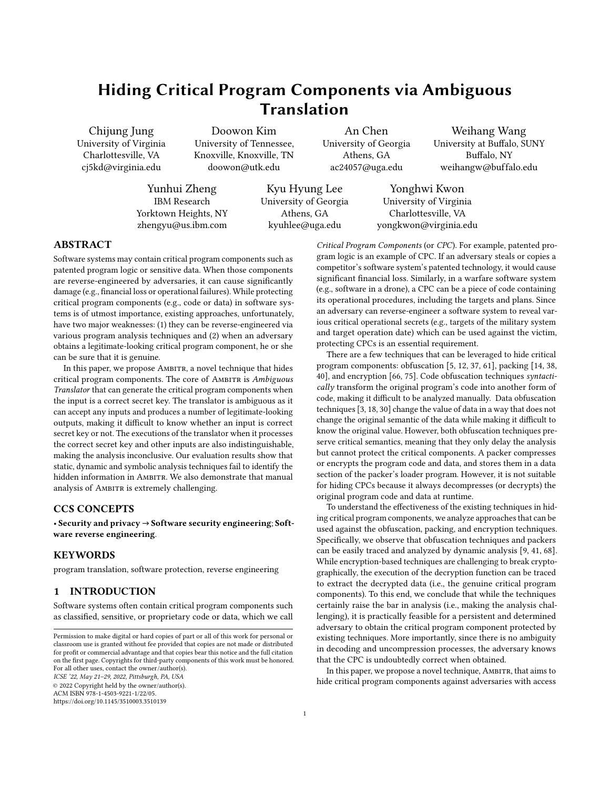

(d) Secret Input Computation

Figure 5: Identifying Secret Key for a CPC Token.

Unnecessary States and Transitions. We then add extra states and transitions between all states to hinder analysis attempts of the state machine. Dummy transitions connect all states (not only dummy states), making AMBITR more difficult to analyze. Note that the dummy states and transitions are used to translate decoy (i.e., fake) CPCs. Inputs/outputs of the transitions to the dummy states are chosen in a way that the inputs of all transitions look similar, making it challenging to know which transitions are for the genuine CPC. Specifically, for each newly added transition, its input is derived by choosing a similar word (i.e., synonyms/antonyms in dictionaries [22, 58]) to its neighboring transition's input.

## 4 EVALUATION

In this section, we present various experimental results to show the effectiveness of AMBITR in comparison with existing state-ofthe-art techniques and analysis tools. In particular, we evaluate AMBITR in terms of evasiveness (via dynamic analysis tools in Section 4.3.1), complexity (via static analysis tools in Section 4.3.2 and Section 4.3.3), and the context-sensitivity (Section 4.3.4).

Implementation. We implement our AMBITR creator in Python (1,322 LOC). It generates AMBITR, written in PHP (2,314 LOC excluding lines for the transition inputs and outputs).

Ambiguous Translator Configuration. For the evaluation, Ambiguous Translator is configured to create binary samples with at least more than 300 nodes and each node has at least 5 edges.

Table 3: AMBITR Instances Statistics.

| Size of<br>$CPCs$ (Avg.) | # of<br><b>Samples</b> | Avg. Size of<br><b>AMBITR</b> | $Avg. \# of$<br><b>States</b> | Avg. $#$ of<br><b>Transitions</b> |
|--------------------------|------------------------|-------------------------------|-------------------------------|-----------------------------------|
| 0 10 KB (2.7 KB)         | 345                    | 27.36 KB                      | 603.6                         | 4,843.4                           |
| 10 20 KB (14.5 KB)       | 99                     | 77.72 KB                      | 2.476.1                       | 19.194.7                          |
| 20 30 KB (24.0 KB)       | 39                     | 130.15 KB                     | 4,012.8                       | 32,334.9                          |
| 30 40 KB (34.7 KB)       | 56                     | 175.81 KB                     | 5.671.7                       | 45,659.0                          |
| 40 50 KB (43.7 KB)       | 34                     | 209.71 KB                     | 7,209.5                       | 58.124.1                          |

## 4.1 Applicability

To understand whether AMBITR can be created by various input/output pairs, we collect 573 code snippets and programs from popular repositories [7, 8, 23, 51, 74]. Note that for AMBITR, those input

CPCs are simply strings, and values of the inputs do not affect AMBITR's performance.

We successfully generate AMBITR instances for all 573 collected samples as shown in Table 3. Given the secret input, they all successfully generate CPCs as expected. We categorize them by the samples' sizes (with an interval value of 10 KB). The sizes of Am-BITR are larger than the original samples (we apply compression, e.g., gzip, to reduce the size of AMBITR). Except for the first group, the size of AMBITR is about 5 times larger than the original sample.

#### 4.2 Automated Analysis of AMBITR

We compare AMBITR with state-of-the-art obfuscation/protector techniques to show AMBITR effectively hides CPCs. In particular, we use a forced execution technique MalMax [48] as it can effectively expose CPCs hidden by existing techniques (see Table 1).

Obfuscators/Protectors Selection. Four state-of-the-art PHP obfuscators and two crypters/protectors are chosen based on their popularity. Obfusactors include PHP Obfuscator [26], YAK Pro [36], Best PHP Obfuscator [60], and Simple Online PHP Obfuscator [39]. Crypters/protectors include Zend Guard [83] and PHP Encoder [59]. Result. As discussed in Section 1, obfuscators do not require any particular input or environment to decode and run the genuine CPC. Even without the forced execution technique (MalMax), we observe the CPC's execution by simply running them. For Zend Guard and PHP Encoder, it requires the encryption key to be accessible via network. We use MalMax to run the programs protected by Zend Guard and PHP Encoder, without encryption key access. Initially, they all fail to execute. Then, we try an incorrect key by creating another key from Zend Guard and PHP Encoder. The wrong key is essentially a key for another program. As expected, the wrong key results in failed executions for all samples because the existing techniques are not ambiguous (as shown in Figure 2).

Then, we use a correct key (obtained by tracing network communications when it runs without errors). We run MalMax again with the correct key, and all samples are successfully decrypted and expose CPCs. As discussed in Section 2.4.4, the fact that it can successfully execute indicates that the identified CPCs are genuine.

We also use MalMax to analyze AMBITR protected samples. However, MalMax fails to expose any of CPCs from the samples. This is because MalMax focuses on executing all statements without precisely identifying the key secret inputs. Simply executing all statements of a target is not sufficient for analyzing AMBITR. Moreover, while the execution of AMBITR under MalMax is incorrect, AMBITR does not cause any errors or observable behavior differences. Some generated outputs are not valid while there are still many seemingly valid outputs looks like CPCs, causing ambiguity in analysis. Even one can observe the genuine CPC (e.g., having a network trace of the input leading to the genuine CPC), knowing whether the observed CPC is the original is not verifiable.

#### **4.3 Reverse Engineering AMBITR**

We evaluate AMBITR from a reverse-engineer's perspective in terms of how difficult to reveal the genuine CPC using various program analysis tools manually. In the following subsections, we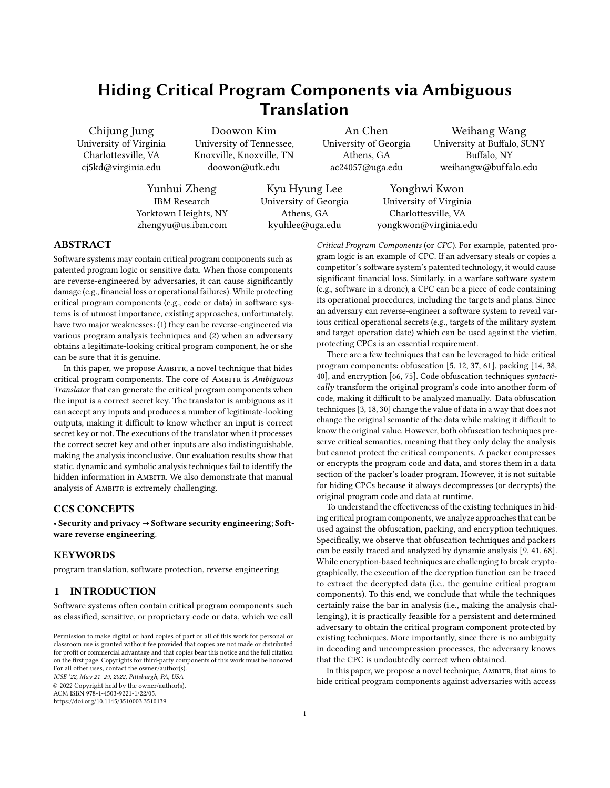ICSE '22, May 21-29, 2022, Pittsburgh, PA, USA Chijung Jung, Doowon Kim, An Chen, Weihang Wang, Yunhui Zheng, Kyu Hyung Lee, and Yonghwi Kwon





(Red arrows are the transitions generated)

Figure 6: Simplified Source Code of Ambiguous Translator (in PHP).

assume that the reverser obtains a sample of AMBITR without knowing the intended input that generates output.

4.3.1 Dynamic Analysis. We assume a scenario that the reverser attempts to use Xdebug [21] to monitor its execution. Xdebug is a PHP debugging extension, providing various debugging primitives such as step-debugging (i.e., single-stepping), variable dumps, and stack traces. Specifically, it traces variables that are used to compute outputs from inputs [20], similar to program slicing [1, 77].

Analyzing Executed Statements. The reverser traces all statements that read and write inputs and values that are computed from inputs (i.e., values that are data dependent on the inputs). Unfortunately, as a state machine is implemented as a loop that makes transitions according to the current input (e.g., as shown in Figure 6-(a)), the resulting traces include most of the statements regardless of whether the execution delivers an attack or not.

Analyzing Values from Executed Statements. The reverser also dumps all the values of the variables used in the executed statements. However, as the execution does not deliver the genuine CPC, analyzing the values does not help.

4.3.2 Static Analysis. Static analysis tools can be used to analyze AMBITR to identify possible output values that can be generated by Ambiguous Translator. Specifically, the reverser uses static taint analysis tools to find out the data flow of Ambiguous Translator. Further, static analysis tools that can conduct a value-set analysis (e.g., [4]) are used to infer possible values of a few key variables.

Simplified Source Code of Ambiguous Translator. Figure 6- (a) shows a simplified version of Ambiguous Translator written in PHP. Lines 1-6 define constants. Lines 8-20 build a state transition table that is essentially an array of state transition rules including current state, input/output of the transition, and next state (line 13-18). It has a loop (lines 22-28) that repeatedly finds a transition according to the input (line 23), makes the transition (line 24), and dynamically creates an output according to the input (line 25). The dynamic translation is done in a function (lines 29-34). The result is essentially a concatenated string of the dynamic outputs (line 31). Figure 6-(b) shows the ground-truth of Ambiguous Translator shown in Figure 6-(a). It has four states (ST0 ST3) and there are multiple transitions among ST1, ST2 and ST3.



Figure 7: Data Dependency Graph by Taint Analysis.

Backward Data Slicing via Taint Analysis. There are several PHP static analysis tools that support taint analysis: Pixy [33], Eir [27], Taint'em All [81], and TaintPHP [53]. Note that most of them do not properly propagate taint tags through array and array index operations. Hence, we reimplement Figure 6 without using arrays so that they can effectively analyze AMBITR. Moreover, TaintPHP [53] does not support inter-procedure analysis; hence we inline all functions (e.g., dynamic\_transl  $ate()$ ) in AMBITR and feed it to TaintPHP. To this end, the reverser leverages the above four taint analysis tools to obtain a data dependency graph shown in Figure 7. It essentially shows that the value of  $Fesul$  t is computed by \$out that is again dependent on all the variables including \$input, \$state\_tbl arrays, \$tran, and \$cur\_state. While this is accurate, the result is too coarse-grained. Specifically, it shows all the \$state\_tbl arrays are contributing the value of \$result. It does not provide a particular order of state transitions which is critical in revealing attack delivering inputs. Note that one may improve the analysis to better support arrays (i.e., array-sensitive analysis). However, while array-sensitive analysis can improve the granularity of the analysis (i.e., identifying data-dependencies at an element level), it still provides the same information and does not help identify the real CPC.

Value-set Analysis. The reverser uses three static analysis tools for PHP: PHPStan [45], Psalm [73], and WeVerca [28]. The tools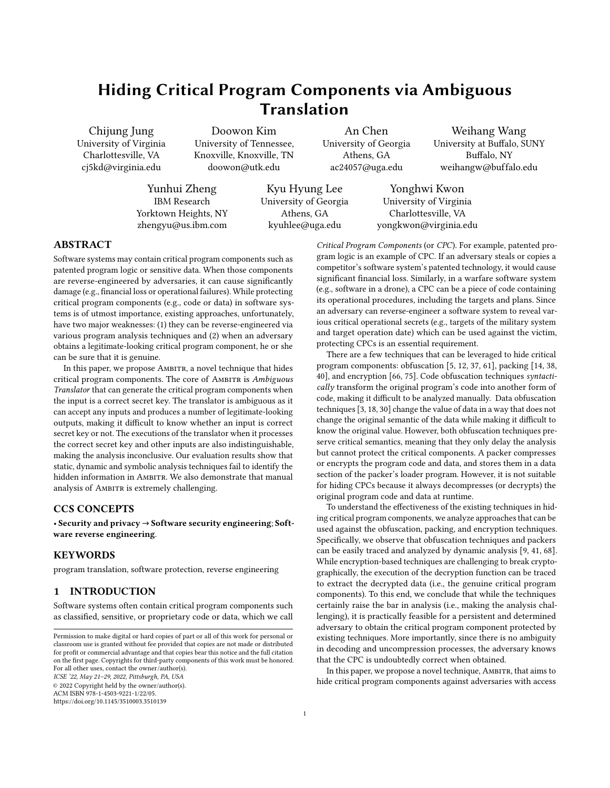Table 4: Value-set Analysis Result for Key Variables.

| Variable | <b>Value-Set</b>                                                                  |
|----------|-----------------------------------------------------------------------------------|
| \$tran   | $\{0, 1, 2, 3, \ldots \}$                                                         |
|          | $\text{Scur state}$ {STO, ST1, ST2, ST3,  }                                       |
| \$ret    | {"urtonk", "drunks", "7GZ mp3.gs", "83s png.gz"<br>"wxp.zy *3F", "ubuntu +0F",  } |
| \$result | Combinations of values of \$ret                                                   |

implement a data flow analysis technique that can be used to build value-set analysis, which identifies a set of possible values a variable can have during the execution [4]. The reverser leverages them to infer potential values that each variable can hold in the AMBITR instance shown in Figure 6-(a). Table 4 shows the result of the value-set analysis on each key variable in Figure 6-(a). In short, the result is not an effective way to expose the genuine CPC due to two reasons. First, while the analysis reveals all possible inputs for \$ret and \$result, it simply dumps all the outputs of the transitions in Ambiguous Translator. To analyze Ambiguous Translator, one has to understand the order of outputs generated by transitions rather than a set of outputs. Second, even for the revealed outputs stated in Ambiguous Translator as shown in Table 4, they are misleading. Those outputs are not the ones that will be generated when an attack delivering input is provided. For instance, the AMBITR instance in Figure 6-(a) can deliver a code snippet unlink('/tmp/.found.txt'); when a sequence of inputs spines, TEA[steam], and aegtconfine are provided. The inputs dynamically transform the outputs annotated on the transitions (i.e., urdonk,  $76Z$  mp3. es, and wxp. zwl  $*30$ ) into the code snippets (i.e., unlink, ('/tmp/. fo, and und. txt'); respectively).

4.3.3 Symbolic Execution Tools. In this section, the reverser uses symbolic execution tools to reverse-engineer the genuine CPC translation logic of AMBITR. Specifically, four symbolic execution tools, THAPS [31], PHPScan [72], KPHP [25], and Symex [50] are used. The tools aim to identify all possible inputs that can lead to new program execution paths or states. Note that a non-array version of AMBITR is used, as the symbolic executions fail to support array properly.

State Explosion. None of the symbolic execution tools we used finishes the analysis in a week due to state explosion [10, 15, 71]. Specifically, for each state, Ambiguous Translator has multiple transitions to the next states. Hence, the number of possible transition paths grows exponentially. For instance, suppose the input has  $x$ pairs grows experientially the initiality of probability of the input fast  $\alpha$  words requiring  $x$  state transitions, there will be  $5^x$  possible transitions. sition paths, leading to state explosion. KPHP [25] crashed after running 7 hours 17 minutes due to insufficient memory. Further, we create a simplified version of AMBITR that has a single transition with a 4-byte input for each transition. The four symbolic execution tools failed to finish the analysis within a week as well.

Experiments with Enhanced PHPScan. Since the vanilla versions of symbolic execution tools failed to analyze a very small instance of AMBITR (with a single transition), we manually optimize PHPScan [72] and use it to analyze AMBITR. Specifically, we modify PHPScan so that it can (1) cache and reuse solved constraints, and (2) merge and reduce multiple constraints into fewer constraints. We use a machine with Intel i7-8550U 4.0 GHz and 16 GB RAM

to run this experiment. We conduct two experiments. We prepare AMBITR instances with (1) different numbers of transitions where each transition will take 3-byte input and (2) a single transition but with different input lengths.

1) Different numbers of transitions: As the number of transitions increases, the number of states to explore is increased exponentially. For instance, with a single additional transition, the number of states becomes 10 times larger. We prepare simplified versions of AMBITR that have 4, 5, and 6 transitions where each transition takes 3 characters long input. We use PHPScan to analyze them. It takes about 3 hours, 2 days, and 4 weeks to finish the analysis of Ambiguous Translator with 4, 5, and 6 transitions, respectively. Note that the input length (currently 3) is a root cause of state explosion. In this example, we set it 3 for each transition.

2) Different input lengths: Dynamic output translation also causes the state explosion. To understand its impact on the number of states during the symbolic execution, we create a simplified version of AMBITR with input lengths of 6, 7 and 8. Analyzing a single transition for the input length 6 (i.e., 6 characters input) takes about 15 hours 30 minutes. Input lengths 7 and 8, which are typical lengths of inputs in our samples, take more than 2.9 days and 13 days to finish the analysis, respectively. This shows that analyzing even a single transition is time-consuming.

Optimization Causing Under-approximation. Symbolic analysis, in practice, uses an optimization strategy that aims to find one input that drives the execution to a particular point instead of enumerating all possible inputs. As a result, even the reverser reaches a particular state, the identified input is unlikely an attack delivering input. For example, in Figure 8-(a), the array \$fn represents a function name. Before it's invoked at line 6, it is constructed at lines 3–5 after satisfying multiple path conditions at line 2. Symbolic analysis encodes the path conditions and gets one solution shown in Figure 8-(b) from the underlying constraint solver. The execution successfully goes into the true branch and invokes the function \$f. However, it invokes function uni qid instead of function unl ink that constitutes the genuine CPC as shown in Figure 8-(c). Given this branch has been successfully explored, the symbolic analysis will not try other solutions satisfying the path condition and thus cannot discover the genuine CPC.

|                | $$fn = array():$                                                              |                 |  | Variable | Value                                              |
|----------------|-------------------------------------------------------------------------------|-----------------|--|----------|----------------------------------------------------|
| $\overline{2}$ | if $(Sfn[0] > = 85 88 Sfn[1] > = 78 88$                                       |                 |  | \$fn[]   | ${85, 78, 73, 81, 73, 68}$                         |
|                | $$fn[2] > = 73$ && $$fn[3] > = 81$ &&<br>$$fn[4] > = 73$ && \$fn[5] >= 68 ) { |                 |  | \$f      | "uniqid"                                           |
| 3              | $foreach(\$fn as $c)$                                                         |                 |  |          | (b) Resolved <b>\$fn[]</b> and <b>\$f</b>          |
| 4              | $$f = $f \cdot \text{chr}(f)$ ;                                               |                 |  |          |                                                    |
| 5              | $$f = structolower($f);$                                                      |                 |  | Variable | Value                                              |
| 6              | \$f():                                                                        |                 |  | \$fn[]   | ${117, 110, 108, 105, 110, 107}$                   |
|                |                                                                               |                 |  | \$f      | $"$ unlink"                                        |
|                |                                                                               | (a) Source Code |  |          | $(c)$ Intended $\mathsf{Sfn}$ [] and $\mathsf{Sf}$ |

Figure 8: Symbolic Execution Exploring a Single Input.

Describing Constraints. Although the reverser can use symbolic analysis to model the path predicates as constraints and drive the execution to a particular program location, it is challenging to explicitly encode the criteria of the genuine CPC as constraints (e.g., constraints that describe the CPC). In other words, he may not even know what exactly he is looking for and how to describe the logic in a way the underlying constraint solver can understand. For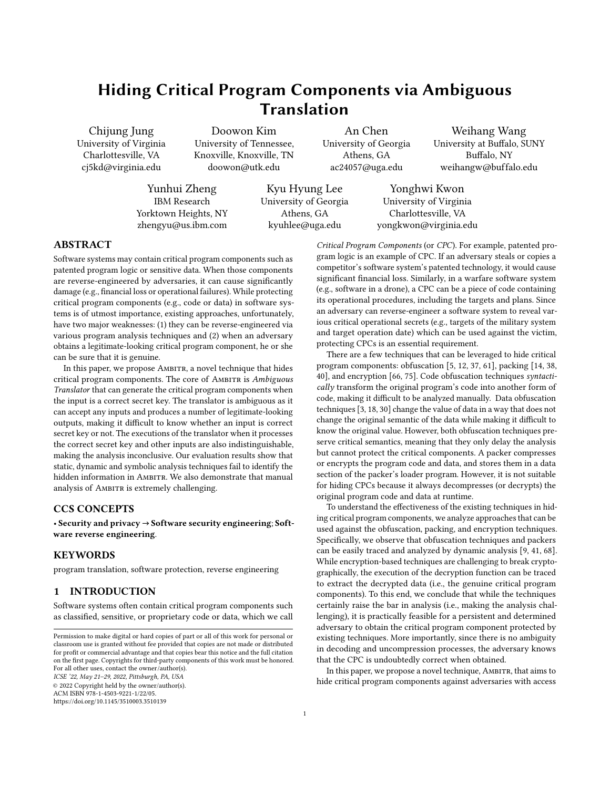example, it is challenging because any valid statements and function names can be potentially CPC. As a result, the satisfiable solutions to the incomplete constraints may lead to a place of interest but will not reveal the genuine CPC.

Empirical Experiment on the State Explosion. To understand how difficult to analyze AMBITR with symbolic execution techniques in detail, we run experiments with PHPScan [72] which uses the z3 solver [43] for constraint solving. Note that the original version of PHPScan was too inefficient. It failed to finish the analysis on a very small AMBITR sample (e.g., a single transition of 4 characters long input/output) in 24 hours. Hence, we manually improve the PHPScan's performance by modifying it to (1) cache and reuse already solved constraints, and (2) merge and reduce multiple identical constraints into fewer constraints. We run the enhanced version of PHPScan on a machine with Intel i7-8550U 4.0 GHz and 16 GB RAM.

Table 5 shows the experiment results. As shown in the "Automaton Size" columns, we created 16 different sizes Ambiguous Translator. The size is defined as a pair of the length of input characters and the number of the transition. For instance, "6 chars., 1 trans." means a Ambiguous Translator that has a single transition between two states, and the transition input/output is 6 characters long. An example can be a sub state-machine of Figure 9 between ST\_0 and ST\_1 (Input: "states", Output: "urdonk"). The "# Const." columns present the number of constraints that should be explored by PHPScan. The "Time" columns show the required time for the analysis. Note that as the Ambiguous Translator gets bigger, the number of constraints increases exponentially. In many cases (i.e., the gray cells), the experiments did not finish even after 10 days. For those cases, we estimate the required time based on the number of processed constraints and remaining (also estimated) constraints. Observe that the enhanced version of PHPScan takes more than 10 days to analyze Ambiguous Translator instances with more than 3 transitions of 5 characters input/output (which is much smaller than typical Ambiguous Translator we generated and used).

Figure 9 consists of 17 transitions and its average input/output size is 9.64, which is much larger than the largest Ambiguous Translator presented in Table 5 (4 transitions of 7 characters long input/output). Note that even if the analysis successfully finishes, the analysis results (e.g., inputs to make all possible transitions) do not expose the genuine CPC.

|  | Table 5: PHPScan on Different Sizes of Амвıтв |  |
|--|-----------------------------------------------|--|
|  |                                               |  |

| <b>Automaton Size</b><br>(Input, Trans.) | # of<br>Const. | Time              | <b>Automaton Size</b><br>(Input, Trans.) | # of<br>Const. | Time              |
|------------------------------------------|----------------|-------------------|------------------------------------------|----------------|-------------------|
| 4 chars., 1 trans.                       | 35 K           | 31.5 m            | 6 chars., 1 trans.                       | 10 M           | 14.8 <sub>h</sub> |
| 4 chars., 2 trans.                       | 386 K          | 4.3 <sub>h</sub>  | 6 chars 2 trans.                         | 112 M          | 4.7d              |
| 4 chars., 3 trans.                       | 6 M            | 8.1 d             | 6 chars. 3 trans.                        | 1.2 B          | 149.3 d           |
| 4 chars., 4 trans.                       | 61 M           | 121d              | 6 chars., 4 trans.                       | 12B            | 5.7y              |
| 5 chars., 1 trans.                       | 181 K          | 2.9 <sub>h</sub>  | 7 chars., 1 trans.                       | 4 M            | 3.5d              |
| 5 chars., 2 trans.                       | 1.9 M          | 19.8 <sub>h</sub> | 7 chars., 2 trans.                       | 4.5 B          | 26.3d             |
| 5 chars., 3 trans.                       | 31 M           | 37.8 d            | 7 chars., 3 trans.                       | 49 B           | 1.6y              |
| 5 chars., 4 trans.                       | 315 M          | 1.4 <sub>V</sub>  | 7 chars., 4 trans.                       | 498 B          | 20y               |

Gray cells indicate that the experiments did not finish in 10 days. The times presented for them are estimated based on the performance measured in the first ten days of execution.

4.3.4 Source Code and Input Analysis. We aim to show how the reverser would make manual reverse-engineering attempts to find



Figure 9: Simplified Ambiguous Translator used in the Input Analysis.

|                      | Input                            | Output                            | Transitions                                |
|----------------------|----------------------------------|-----------------------------------|--------------------------------------------|
| <b>Initial Input</b> | states celestials cost-          | urdonk 7GZ~mp3.e                  | ST $0 \rightarrow ST$ 1 $\rightarrow ST$ 3 |
|                      | effective fiscal-year            | wxp.>nl'%0ive ubuntu5C3;          | $\rightarrow$ ST 2 $\rightarrow$ ST 3      |
| <b>First Trial</b>   | realm: celestials cost-          | sWgmmP 4TZ~mp4.g dekj'mlWl        | ST $0 \rightarrow ST$ 5 $\rightarrow ST$ 6 |
|                      | effective fiscal-year            | ok +#sklm33azr                    | $\rightarrow$ ST 1 $\rightarrow$ ST 2      |
| Second Trial         | <b>province</b> celestials cost- | $dr{vq}$ i iely}~int boo*jeVWZw\{ | ST $0 \rightarrow ST$ 2 $\rightarrow ST$ 5 |
|                      | effective fiscal-year            | Zaak5ylar                         | $\rightarrow$ ST 4 $\rightarrow$ ST 1      |
| <b>Third Irial</b>   | states <b>planetary</b> cost-    | urdonk 5&avpug,u ios7ofsmsive     | ST $0 \rightarrow ST$ 1 $\rightarrow ST$ 2 |
|                      | effective fiscal-year            | ei^^q,iWXu                        | $\rightarrow$ ST 5 $\rightarrow$ ST 4      |
| Fourth Trial         | states <b>astronomical</b>       | urdonk w95.vb abeal prtv-jhpe     | ST $0 \rightarrow ST$ $1 \rightarrow ST$ 4 |
|                      | cost-effective fiscal-year       | <b>Pive Zcizear</b>               | $\rightarrow$ ST 0 $\rightarrow$ ST 2      |

Figure 10: Inputs used during the Input Analysis.

out the secret input leading to the genuine CPC in AMBITR by manually inspecting source code and guessing inputs. We assume the reverser obtained a sample of AMBITR and reverse-engineered Ambiguous Translator as shown in Figure 9. Then, the reverser executes the sample and identifies input that the sample retrieves. The input are shown in the first row of Figure 10 (Initial Input). As expected, the input does not lead to the genuine CPC. To this end, the reverser tries to guess inputs leveraging knowledge gained from manual source code inspection.

The reverser modifies the first input by guessing a possible alternative word. Specifically, realm; is chosen as it is a synonym for states, the original input. Note that all other inputs remain unchanged. However, since the first input leads to a different transition (ST\_0→ST\_5), all the subsequent transitions (shown in the last column) are different from the transitions for the initial input, resulting in a completely different output. In the second trial, the reverser changes the first input to province, which is another synonym for states. Again, the output and the transitions are changed significantly, leaving no particular hints for the next trial. From the third trial, the reverser starts to guess the second input. Specifically, planetary is used. Observe that the first output word remains the same, while all the subsequent outputs and transitions are changed. While this shows that the first input is related to the first output, it is not useful in reverse-engineering the attack delivering the input. The fourth trial is similar. Changing a single word in the input leads to all subsequent output words, and transitions being changed.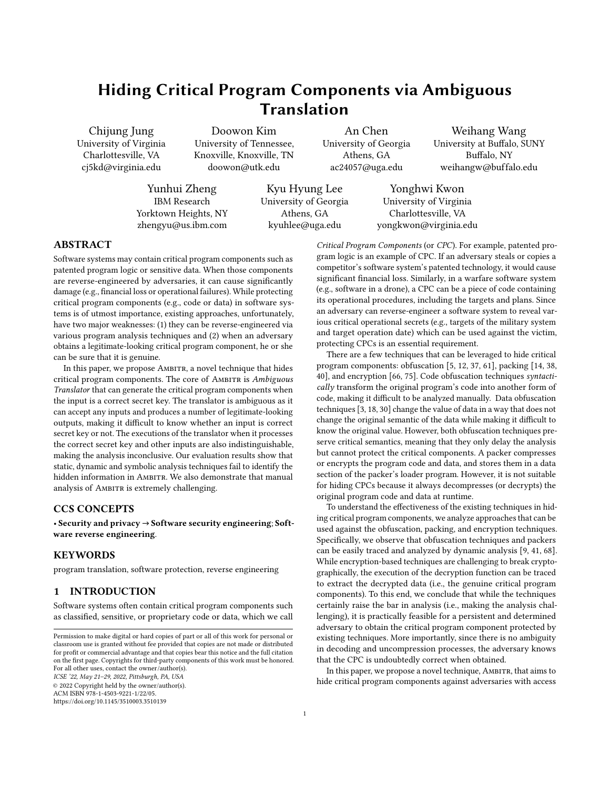## 5 DISCUSSION

Generality. While we implement our prototype in PHP, the idea is general and can be implemented in other programming languages. To support executable CPCs, one needs to implement dynamic code generation and execution primitives such as eval(). Script languages such as JavaScript and Python support them by default. In other programming languages such as C/C++, one may leverage JIT compilation techniques [11].

Handling Non-ASCII Inputs and Outputs. For better readability, we only discuss example cases when inputs and outputs are ASCII characters. However, AMBITR seamlessly supports non-ASCII inputs and outputs. Specifically, if the input is out of range of ASCII characters, AMBITR calculates the distance of provided input and the state transition's input without converting them to ASCII code value. Similarly, AMBITR computes the output directly from the distance values and state transition output without considering their ASCII values.

Threats to Validity. The experiments in Section 4.2 are conducted by two individuals who have sufficient background in computer science using state-of-the-art open-source tools. Specifically, the experiment presented in Section 4.3.3 is conducted by a computer science Ph.D. student with sufficient program analysis and security background. The work in Section 4.3.4 is done by an expert in software engineering and security (holding a Ph.D. in Computer Science). In addition, two undergraduate students majoring in Computer Science (focusing on computer security) have repeated the experiments and reached the same conclusions. Note that all participants did not know the proposed approach prior to the experiment. The analysis results may differ depending on the tools' capability and the analysts' expertise.

# 6 RELATED WORK

Hiding Program Code. There exists a line of work in obfuscation to hide program code leveraging opaque predicates [16, 47, 67], code insertion/replacement [5, 37, 54, 61, 76], encryptions [66, 75], hardware primitives [12, 64], and sub-tree embedding [24]. However, opaque predicates can be detected and removed via advanced program analysis techniques [44]. Dummy code snippets inserted into an existing program can be identified and removed via dependency analysis such as taint analysis [17, 27, 33, 42, 52, 53, 55, 56, 63, 65, 81]. Anti-analysis Techniques. Recently, [54] presents a systematic study of multiple methods to hinder symbolic execution techniques. Specifically, it inserts additional code to increase the number of feasible paths. AMBITR's Ambiguous Translator not only increases the number of feasible paths but also provides many more additional challenges such as ambiguity via dynamic output translation. [24] transforms program code snippets into a sub abstract syntax tree (AST), and injects the tree into the AST of a program. However, dynamic analysis and symbolic analysis tools can detect such injected code. Data obfuscations (e.g., encrypting code sections and decryption them at runtime) are easily handled by dynamic analysis [9, 41, 68]. Approaches that require particular hardware support are difficult to be used in real-world program, as many systems may not satisfy the hardware requirement. Unlike them, AMBITR is challenging to be analyzed by static, symbolic, and dynamic analysis tools as shown in Section 4. It does not require any particular hardware or software.

# 7 CONCLUSION

Protecting critical program components (e.g., patented program logic or sensitive data) is an important requirement in software systems. In this paper, we present AMBITR, a novel technique that hides critical program components via a sophisticated state machine based translator called Ambiguous Translator. It imposes fundamental challenges to state-of-the-art program analysis techniques by adding a new dimension of the challenge: ambiguity. Our evaluation of the comparison with a diverse set of state-of-the-art analysis techniques, including dynamic, static, and symbolic execution, shows that AMBITR is effective in hiding critical program components.

# ACKNOWLEDGMENTS

We thank the anonymous referees for their constructive feedback. The authors gratefully acknowledge the support of NSF 1916499, 1908021, 2047980, 1850392, 1853374, 1924777, 2145616, and 2047980. This research was also partially supported by a Mozilla Research Award, a Facebook Research Award, and a gift from Cisco Systems. Any opinions, findings, and conclusions or recommendations expressed in this material are those of the authors and do not necessarily reflect the views of the sponsor.

#### **REFERENCES**

- [1] Hiralal Agrawal and Joseph R. Horgan. 1990. Dynamic Program Slicing. SIGPLAN Not. 25, 6 (June 1990), 246–256.<https://doi.org/10.1145/93548.93576>
- [2] Christian Ammann. 2012. Hyperion: Implementation of a PE-Crypter.
- David E Bakken, R Rarameswaran, Douglas M Blough, Andy A Franz, and Ty J Palmer. 2004. Data obfuscation: Anonymity and desensitization of usable data sets. IEEE Security & Privacy 2, 6 (2004), 34–41.
- [4] Gogul Balakrishnan and Thomas Reps. 2004. Analyzing Memory Accesses in x86 Executables. In Compiler Construction, Evelyn Duesterwald (Ed.). Springer Berlin Heidelberg, Berlin, Heidelberg, 5–23.
- [5] Sebastian Banescu, Christian Collberg, Vijay Ganesh, Zack Newsham, and Alexander Pretschner. 2016. Code Obfuscation against Symbolic Execution Attacks. In Proceedings of the 32nd Annual Conference on Computer Security Applications (Los Angeles, California, USA) (ACSAC '16). Association for Computing Machinery, New York, NY, USA, 189–200.<https://doi.org/10.1145/2991079.2991114>
- [6] Cristian Barría, David Cordero, Claudio Cubillos, and Robinson Osses. 2016. Obfuscation procedure based in dead code insertion into crypter. In 2016 6th International Conference on Computers Communications and Control (ICCCC). IEEE, 23–29.
- [7] BDLeet. 2016. GitHub BDLeet/public-shell: Some Public Shell. [https://github.c](https://github.com/BDLeet/public-shell) [om/BDLeet/public-shell.](https://github.com/BDLeet/public-shell)
- [8] Bart Blaze. 2019. GitHub bartblaze/PHP-backdoors: A collection of PHP backdoors. [https://github.com/bartblaze/PHP-backdoors.](https://github.com/bartblaze/PHP-backdoors)
- [9] David Brumley, Cody Hartwig, Zhenkai Liang, James Newsome, Dawn Song, and Heng Yin. 2008. Automatically identifying trigger-based behavior in malware. In Botnet Detection. Springer, 65–88.
- [10] Jerry R Burch, Edmund M Clarke, Kenneth L McMillan, David L Dill, and Lain-Jinn Hwang. 1992. Symbolic model checking: 1020 states and beyond. Information and computation 98, 2 (1992), 142–170.
- [11] Juan Manuel Martinez Caamaño and Serge Guelton. 2018. Easy::Jit: Compiler Assisted Library to Enable Just-in-Time Compilation in C++ Codes. In Conference Companion of the 2nd International Conference on Art, Science, and Engineering of Programming (Nice, France) (Programming'18 Companion). Association for Computing Machinery, New York, NY, USA, 49–50. [https://doi.org/10.1145/3191](https://doi.org/10.1145/3191697.3191725) [697.3191725](https://doi.org/10.1145/3191697.3191725)
- [12] Haibo Chen, Liwei Yuan, Xi Wu, Binyu Zang, Bo Huang, and Pen-chung Yew. 2009. Control flow obfuscation with information flow tracking. In Proceedings of the 42nd Annual IEEE/ACM International Symposium on Microarchitecture. ACM, 391–400.
- [13] Binlin Cheng, Jiang Ming, Jianmin Fu, Guojun Peng, Ting Chen, Xiaosong Zhang, and Jean-Yves Marion. 2018. Towards Paving the Way for Large-Scale Windows Malware Analysis: Generic Binary Unpacking with Orders-of-Magnitude Performance Boost. In Proceedings of the 2018 ACM SIGSAC Conference on Computer and Communications Security (Toronto, Canada) (CCS '18). Association for Computing Machinery, New York, NY, USA, 395–411. <https://doi.org/10.1145/3243734.3243771>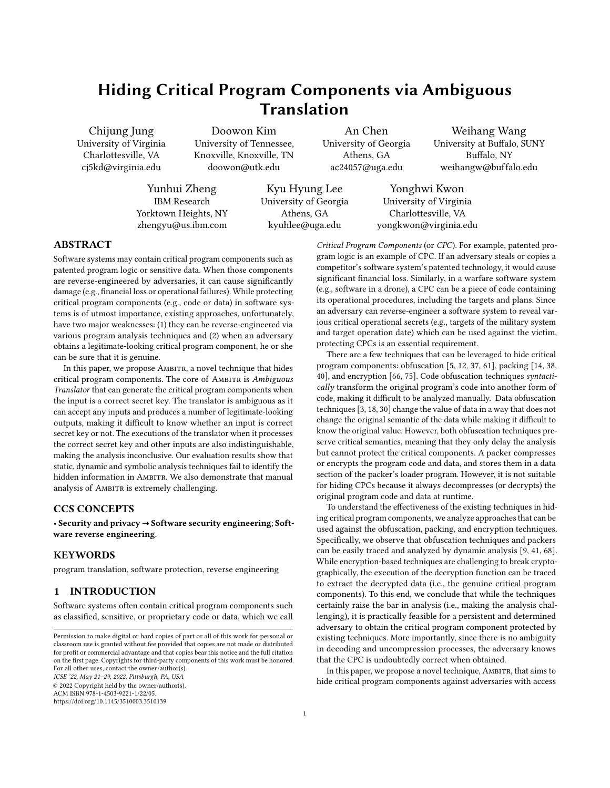- [14] Binlin Cheng, Jiang Ming, Erika A Leal, Haotian Zhang, Jianming Fu, Guojun Peng, and Jean-Yves Marion. 2021. Obfuscation-Resilient Executable Payload Extraction From Packed Malware. In 30th USENIX Security Symposium (USENIX Security 21).
- [15] Edmund M Clarke, William Klieber, Miloš Nováček, and Paolo Zuliani. 2011. Model checking and the state explosion problem. In LASER Summer School on Software Engineering. Springer, 1–30.
- [16] Christian Collberg, Clark Thomborson, and Douglas Low. 1998. Manufacturing cheap, resilient, and stealthy opaque constructs. In Proceedings of the 25th ACM SIGPLAN-SIGACT symposium on Principles of programming languages. ACM, 184–196.
- [17] Johannes Dahse and Jörg Schwenk. 2010. RIPS-A static source code analyser for vulnerabilities in PHP scripts. Retrieved: February 28 (2010), 2012.
- [18] Biniam Fisseha Demissie, Mariano Ceccato, and Roberto Tiella. 2015. Assessment of Data Obfuscation with Residue Number Coding. In Proceedings of the 1st International Workshop on Software Protection (Florence, Italy) (SPRO '15). IEEE Press, 38–44.
- [19] Zhui Deng, Brendan Saltaformaggio, Xiangyu Zhang, and Dongyan Xu. 2015. iris: Vetting private api abuse in ios applications. In Proceedings of the 22nd ACM SIGSAC Conference on Computer and Communications Security. 44–56.
- [20] Derick Rethans. 2009. Variable tracing with Xdebug Derick Rethans. [https:](https://derickrethans.nl/variable-tracing-with-xdebug.html) [//derickrethans.nl/variable-tracing-with-xdebug.html.](https://derickrethans.nl/variable-tracing-with-xdebug.html)
- [21] Derick Rethans. 2020. Xdebug Debugger and Profiler Tool for PHP. [https:](https://xdebug.org/) [//xdebug.org/.](https://xdebug.org/)
- [22] dwyl. 2019. A text file containing 479k English words. [https://github.com/dwyl/](https://github.com/dwyl/english-words) [english-words.](https://github.com/dwyl/english-words)
- [23] Evi1cg. 2019. GitHub Ridter/Pentest. [https://github.com/Ridter/Pentest.](https://github.com/Ridter/Pentest)
- [24] Aurore Fass, Michael Backes, and Ben Stock. 2019. Hidenoseek: Camouflaging malicious javascript in benign asts. In Proceedings of the 2019 ACM SIGSAC Conference on Computer and Communications Security. 1899–1913.
- [25] Daniele Filaretti and Sergio Maffeis. 2014. An executable formal semantics of PHP. In European Conference on Object-Oriented Programming. Springer.
- [26] Maurice Fonk. 2019. GitHub naneau/php-obfuscator: an "obfuscator" for PSR/OOp PHP code. [https://github.com/naneau/php-obfuscator.](https://github.com/naneau/php-obfuscator)
- [27] Heilan Yvette Grimes. 2015. Eir Static Vulnerability Detection in PHP Applications. (2015).
- [28] David Hauzar and Jan Kofroň. 2014. WeVerca: Web Applications Verification for PHP. In International Conference on Software Engineering and Formal Methods. Springer, 296–301.
- [29] Cristian Barría Huidobro, David Cordero, Claudio Cubillos, Héctor Allende Cid, and Claudio Casado Barragán. 2018. Obfuscation procedure based on the insertion of the dead code in the crypter by binary search. In 2018 7th International Conference on Computers Communications and Control (ICCCC). IEEE, 183–192.
- [30] Imperva. 2021. Data Obfuscation. [https://www.imperva.com/learn/data](https://www.imperva.com/learn/data-security/data-obfuscation/)[security/data-obfuscation/.](https://www.imperva.com/learn/data-security/data-obfuscation/)
- [31] Torben Jensen, Heine Pedersen, Mads Chr Olesen, and René Rydhof Hansen. 2012. Thaps: automated vulnerability scanning of php applications. In Nordic conference on secure IT systems. Springer, 31–46.
- [32] Ryan Johnson and Angelos Stavrou. 2013. Forced-path execution for android applications on x86 platforms. In 2013 IEEE Seventh International Conference on Software Security and Reliability Companion. IEEE, 188–197.
- [33] Nenad Jovanovic, Christopher Kruegel, and Engin Kirda. 2006. Pixy: A static analysis tool for detecting web application vulnerabilities. In 2006 IEEE Symposium on Security and Privacy (S&P). IEEE, 6–pp.
- [34] Min Gyung Kang, Pongsin Poosankam, and Heng Yin. 2007. Renovo: A Hidden Code Extractor for Packed Executables. In Proceedings of the 2007 ACM Workshop on Recurring Malcode (Alexandria, Virginia, USA) (WORM '07). Association for Computing Machinery, New York, NY, USA, 46–53. [https://doi.org/10.1145/1314](https://doi.org/10.1145/1314389.1314399) [389.1314399](https://doi.org/10.1145/1314389.1314399)
- [35] Kyungtae Kim, I Luk Kim, Chung Hwan Kim, Yonghwi Kwon, Yunhui Zheng, Xiangyu Zhang, and Dongyan Xu. 2017. J-force: Forced execution on javascript. In Proceedings of the 26th international conference on World Wide Web. International World Wide Web Conferences Steering Committee, 897–906.
- [36] Pascal Kissian. 2019. YAK Pro: Php Obfuscator. [https://www.php-obfuscator.c](https://www.php-obfuscator.com/) [om/.](https://www.php-obfuscator.com/)
- [37] Byoungyoung Lee, Yuna Kim, and Jong Kim. 2010. binOb+: a framework for potent and stealthy binary obfuscation. In Proceedings of the 5th ACM Symposium on Information, Computer and Communications Security. ACM, 271–281.
- [38] Young Bi Lee, Jae Hyuk Suk, and Dong Hoon Lee. 2021. Bypassing Anti-Analysis of Commercial Protector Methods Using DBI Tools. IEEE Access 9 (2021), 7655– 7673.
- [39] Robert Lie. 2019. Simple online PHP obfuscator: encodes PHP code into random letters, numbers and/or characters. [https://www.mobilefish.com/services/php\\_o](https://www.mobilefish.com/services/php_obfuscator/php_obfuscator.php) [bfuscator/php\\_obfuscator.php.](https://www.mobilefish.com/services/php_obfuscator/php_obfuscator.php)
- [40] Alessandro Mantovani, Simone Aonzo, Xabier Ugarte-Pedrero, Alessio Merlo, and Davide Balzarotti. 2020. Prevalence and Impact of Low-Entropy Packing Schemes in the Malware Ecosystem. In Network and Distributed System Security (NDSS) Symposium, NDSS, Vol. 20.
- [41] Jian Mao, Jingdong Bian, Guangdong Bai, Ruilong Wang, Yue Chen, Yinhao Xiao, and Zhenkai Liang. 2018. Detecting malicious behaviors in javascript applications. IEEE Access 6 (2018), 12284–12294.
- [42] Ibéria Medeiros, Nuno F Neves, and Miguel Correia. 2014. Automatic detection and correction of web application vulnerabilities using data mining to predict false positives. In Proceedings of the 23rd international conference on World wide web. ACM, 63–74.
- [43] Microsoft. 2020. Z3Prover/z3: The Z3 Theorem Prover. [https://github.com/Z3P](https://github.com/Z3Prover/z3) [rover/z3.](https://github.com/Z3Prover/z3)
- [44] Jiang Ming, Dongpeng Xu, Li Wang, and Dinghao Wu. 2015. Loop: Logic-oriented opaque predicate detection in obfuscated binary code. In Proceedings of the 22nd ACM SIGSAC Conference on Computer and Communications Security. ACM, 757– 768.
- [45] Ondřej Mirtes. 2019. GitHub phpstan/phpstan: PHP Static Analysis Tool. [https:](https://github.com/phpstan/phpstan) [//github.com/phpstan/phpstan.](https://github.com/phpstan/phpstan)
- [46] Shoya Morishige, Shuichiro Haruta, Hiromu Asahina, and Iwao Sasase. 2017. Obfuscated malicious javascript detection scheme using the feature based on divided url. In 2017 23rd Asia-Pacific Conference on Communications (APCC). IEEE,  $1-6.$
- [47] Andreas Moser, Christopher Kruegel, and Engin Kirda. 2007. Limits of static analysis for malware detection. In Twenty-Third Annual Computer Security Applications Conference (ACSAC 2007). IEEE, 421–430.
- [48] Abbas Naderi-Afooshteh, Yonghwi Kwon, Anh Nguyen-Tuong, Ali Razmjoo-Qalaei, Mohammad-Reza Zamiri-Gourabi, and Jack W Davidson. 2019. MalMax: Multi-Aspect Execution for Automated Dynamic Web Server Malware Analysis. In Proceedings of the 2019 ACM SIGSAC Conference on Computer and Communications Security. 1849-1866.
- [49] James Newsome and Dawn Xiaodong Song. 2005. Dynamic Taint Analysis for Automatic Detection, Analysis, and SignatureGeneration of Exploits on Commodity Software.. In NDSS, Vol. 5. Citeseer, 3–4.
- [50] Hung Viet Nguyen, Hoan Anh Nguyen, Tung Thanh Nguyen, and Tien N Nguyen. 2011. Auto-locating and fix-propagating for HTML validation errors to PHP server-side code. In Proceedings of the 2011 26th IEEE/ACM International Conference on Automated Software Engineering. IEEE Computer Society, 13–22. [51] nixawk. 2018. GitHub - nixawk/fuzzdb: Web Fuzzing Discovery and Attack
- Pattern Database. [https://github.com/nixawk/fuzzdb.](https://github.com/nixawk/fuzzdb)
- [52] Paulo Jorge Costa Nunes, José Fonseca, and Marco Vieira. 2015. phpSAFE: A security analysis tool for OOP web application plugins. In 2015 45th Annual IEEE/IFIP International Conference on Dependable Systems and Networks.
- [53] Oswaldo Olivo. 2016. GitHub olivo/TaintPHP: Static Taint Analysis for PHP web applications. [https://github.com/olivo/TaintPHP.](https://github.com/olivo/TaintPHP)
- [54] Mathilde Ollivier, Sébastien Bardin, Richard Bonichon, and Jean-Yves Marion. 2019. How to Kill Symbolic Deobfuscation for Free (or: Unleashing the Potential of Path-Oriented Protections). In Proceedings of the 35th Annual Computer Security Applications Conference (San Juan, Puerto Rico, USA) (ACSAC '19). Association for Computing Machinery, New York, NY, USA, 177–189. [https://doi.org/10.114](https://doi.org/10.1145/3359789.3359812) [5/3359789.3359812](https://doi.org/10.1145/3359789.3359812)
- [55] OneSourceCat. 2015. GitHub OneSourceCat/phpvulhunter: A tool that can scan php vulnerabilities automatically using static analysis methods. [https:](https://github.com/OneSourceCat/phpvulhunter) [//github.com/OneSourceCat/phpvulhunter.](https://github.com/OneSourceCat/phpvulhunter)
- [56] Ioannis Papagiannis, Matteo Migliavacca, and Peter Pietzuch. 2011. PHP Aspis: using partial taint tracking to protect against injection attacks. In 2nd USENIX Conference on Web Application Development, Vol. 13.
- [57] Fei Peng, Zhui Deng, Xiangyu Zhang, Dongyan Xu, Zhiqiang Lin, and Zhendong Su. 2014. X-force: force-executing binary programs for security applications. In 23rd USENIX Security Symposium. 829–844.
- [58] PHP. 2019. PHP: Pspell Functions. [https://www.php.net/manual/en/ref.pspell.p](https://www.php.net/manual/en/ref.pspell.php) [hp.](https://www.php.net/manual/en/ref.pspell.php)
- [59] phpencoder 2021. PHP Encoder, protect PHP scripts with SourceGuardian and bytecode. [https://www.sourceguardian.com/.](https://www.sourceguardian.com/)
- [60] Pipsomania. 2018. Best PHP Obfuscator. [http://www.pipsomania.com/best\\_php](http://www.pipsomania.com/best_php_obfuscator.do) [\\_obfuscator.do](http://www.pipsomania.com/best_php_obfuscator.do)
- [61] Igor V Popov, Saumya K Debray, and Gregory R Andrews. 2007. Binary Obfuscation Using Signals. In USENIX Security Symposium. 275-290.
- [62] Paul Royal, Mitch Halpin, David Dagon, Robert Edmonds, and Wenke Lee. 2006. PolyUnpack: Automating the Hidden-Code Extraction of Unpack-Executing Malware. In 2006 22nd Annual Computer Security Applications Conference (ACSAC'06). 289–300.<https://doi.org/10.1109/ACSAC.2006.38>
- [63] Dewhurst Ryan. 2011. Implementing basic static code analysis into integrated development environments (ides) to reduce software vulnerablitilies. A Report submitted in partial fulfillment of the regulations governing the award of the Degree of BSc (Honours) Ethical Hacking for Computer Security at the University of Northumbria at Newcastle 2012 (2011).
- [64] Sebastian Schrittwieser, Stefan Katzenbeisser, Peter Kieseberg, Markus Huber, Manuel Leithner, Martin Mulazzani, and Edgar Weippl. 2013. Covert computation: Hiding code in code for obfuscation purposes. In Proceedings of the 8th ACM SIGSAC symposium on Information, computer and communications security. ACM, 529–534.